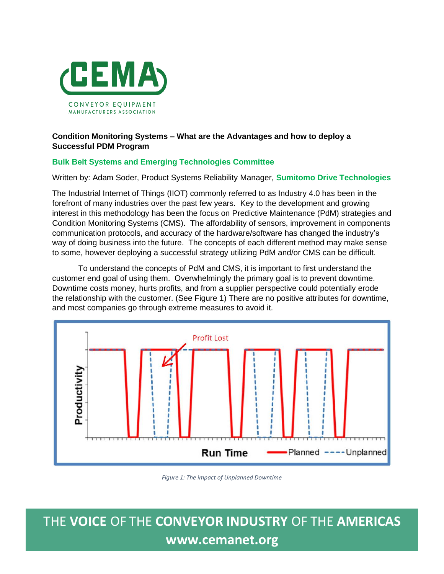

### **Condition Monitoring Systems – What are the Advantages and how to deploy a Successful PDM Program**

#### **Bulk Belt Systems and Emerging Technologies Committee**

#### Written by: Adam Soder, Product Systems Reliability Manager, **Sumitomo Drive Technologies**

The Industrial Internet of Things (IIOT) commonly referred to as Industry 4.0 has been in the forefront of many industries over the past few years. Key to the development and growing interest in this methodology has been the focus on Predictive Maintenance (PdM) strategies and Condition Monitoring Systems (CMS). The affordability of sensors, improvement in components communication protocols, and accuracy of the hardware/software has changed the industry's way of doing business into the future. The concepts of each different method may make sense to some, however deploying a successful strategy utilizing PdM and/or CMS can be difficult.

To understand the concepts of PdM and CMS, it is important to first understand the customer end goal of using them. Overwhelmingly the primary goal is to prevent downtime. Downtime costs money, hurts profits, and from a supplier perspective could potentially erode the relationship with the customer. (See Figure 1) There are no positive attributes for downtime, and most companies go through extreme measures to avoid it.



*Figure 1: The impact of Unplanned Downtime*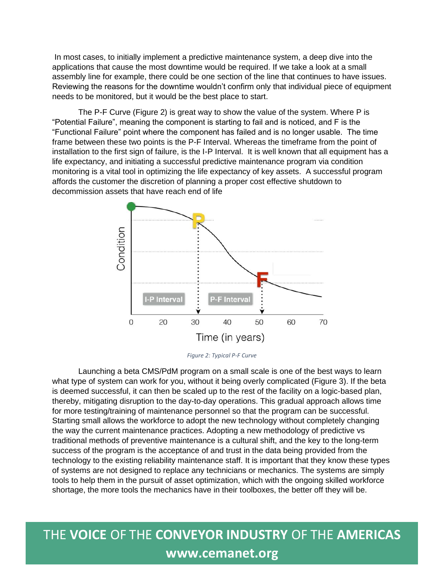In most cases, to initially implement a predictive maintenance system, a deep dive into the applications that cause the most downtime would be required. If we take a look at a small assembly line for example, there could be one section of the line that continues to have issues. Reviewing the reasons for the downtime wouldn't confirm only that individual piece of equipment needs to be monitored, but it would be the best place to start.

The P-F Curve (Figure 2) is great way to show the value of the system. Where P is "Potential Failure", meaning the component is starting to fail and is noticed, and F is the "Functional Failure" point where the component has failed and is no longer usable. The time frame between these two points is the P-F Interval. Whereas the timeframe from the point of installation to the first sign of failure, is the I-P Interval. It is well known that all equipment has a life expectancy, and initiating a successful predictive maintenance program via condition monitoring is a vital tool in optimizing the life expectancy of key assets. A successful program affords the customer the discretion of planning a proper cost effective shutdown to decommission assets that have reach end of life



*Figure 2: Typical P-F Curve*

Launching a beta CMS/PdM program on a small scale is one of the best ways to learn what type of system can work for you, without it being overly complicated (Figure 3). If the beta is deemed successful, it can then be scaled up to the rest of the facility on a logic-based plan, thereby, mitigating disruption to the day-to-day operations. This gradual approach allows time for more testing/training of maintenance personnel so that the program can be successful. Starting small allows the workforce to adopt the new technology without completely changing the way the current maintenance practices. Adopting a new methodology of predictive vs traditional methods of preventive maintenance is a cultural shift, and the key to the long-term success of the program is the acceptance of and trust in the data being provided from the technology to the existing reliability maintenance staff. It is important that they know these types of systems are not designed to replace any technicians or mechanics. The systems are simply tools to help them in the pursuit of asset optimization, which with the ongoing skilled workforce shortage, the more tools the mechanics have in their toolboxes, the better off they will be.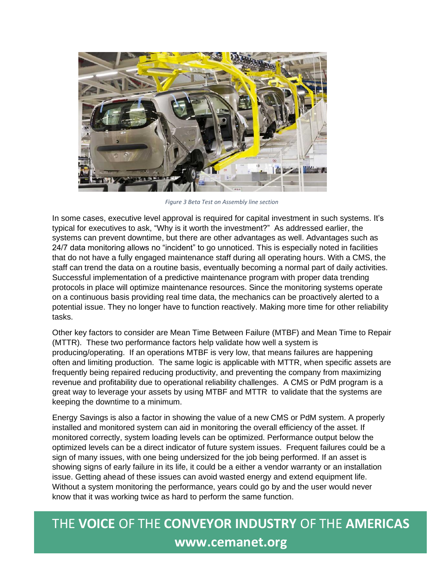

*Figure 3 Beta Test on Assembly line section*

In some cases, executive level approval is required for capital investment in such systems. It's typical for executives to ask, "Why is it worth the investment?" As addressed earlier, the systems can prevent downtime, but there are other advantages as well. Advantages such as 24/7 data monitoring allows no "incident" to go unnoticed. This is especially noted in facilities that do not have a fully engaged maintenance staff during all operating hours. With a CMS, the staff can trend the data on a routine basis, eventually becoming a normal part of daily activities. Successful implementation of a predictive maintenance program with proper data trending protocols in place will optimize maintenance resources. Since the monitoring systems operate on a continuous basis providing real time data, the mechanics can be proactively alerted to a potential issue. They no longer have to function reactively. Making more time for other reliability tasks.

Other key factors to consider are Mean Time Between Failure (MTBF) and Mean Time to Repair (MTTR). These two performance factors help validate how well a system is producing/operating. If an operations MTBF is very low, that means failures are happening often and limiting production. The same logic is applicable with MTTR, when specific assets are frequently being repaired reducing productivity, and preventing the company from maximizing revenue and profitability due to operational reliability challenges. A CMS or PdM program is a great way to leverage your assets by using MTBF and MTTR to validate that the systems are keeping the downtime to a minimum.

Energy Savings is also a factor in showing the value of a new CMS or PdM system. A properly installed and monitored system can aid in monitoring the overall efficiency of the asset. If monitored correctly, system loading levels can be optimized. Performance output below the optimized levels can be a direct indicator of future system issues. Frequent failures could be a sign of many issues, with one being undersized for the job being performed. If an asset is showing signs of early failure in its life, it could be a either a vendor warranty or an installation issue. Getting ahead of these issues can avoid wasted energy and extend equipment life. Without a system monitoring the performance, years could go by and the user would never know that it was working twice as hard to perform the same function.